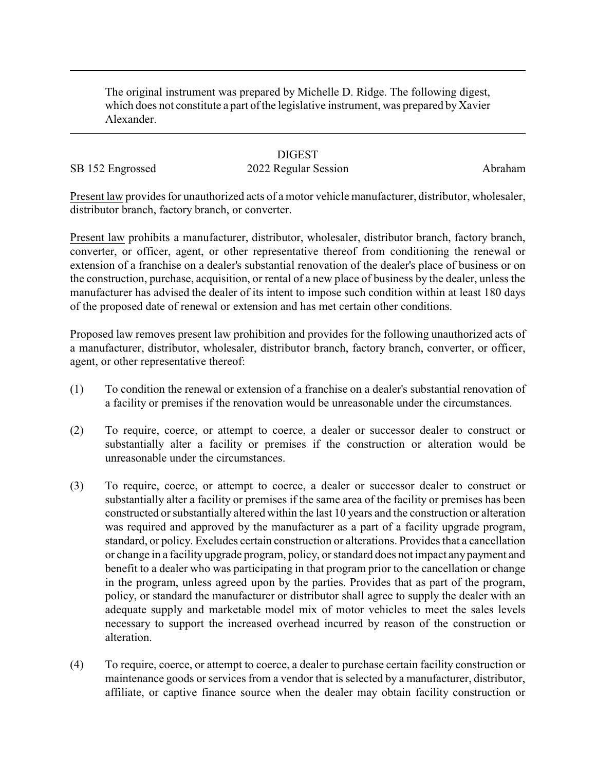The original instrument was prepared by Michelle D. Ridge. The following digest, which does not constitute a part of the legislative instrument, was prepared by Xavier Alexander.

## **DIGEST**

## SB 152 Engrossed 2022 Regular Session Abraham

Present law provides for unauthorized acts of a motor vehicle manufacturer, distributor, wholesaler, distributor branch, factory branch, or converter.

Present law prohibits a manufacturer, distributor, wholesaler, distributor branch, factory branch, converter, or officer, agent, or other representative thereof from conditioning the renewal or extension of a franchise on a dealer's substantial renovation of the dealer's place of business or on the construction, purchase, acquisition, or rental of a new place of business by the dealer, unless the manufacturer has advised the dealer of its intent to impose such condition within at least 180 days of the proposed date of renewal or extension and has met certain other conditions.

Proposed law removes present law prohibition and provides for the following unauthorized acts of a manufacturer, distributor, wholesaler, distributor branch, factory branch, converter, or officer, agent, or other representative thereof:

- (1) To condition the renewal or extension of a franchise on a dealer's substantial renovation of a facility or premises if the renovation would be unreasonable under the circumstances.
- (2) To require, coerce, or attempt to coerce, a dealer or successor dealer to construct or substantially alter a facility or premises if the construction or alteration would be unreasonable under the circumstances.
- (3) To require, coerce, or attempt to coerce, a dealer or successor dealer to construct or substantially alter a facility or premises if the same area of the facility or premises has been constructed or substantially altered within the last 10 years and the construction or alteration was required and approved by the manufacturer as a part of a facility upgrade program, standard, or policy. Excludes certain construction or alterations. Provides that a cancellation or change in a facility upgrade program, policy, or standard does not impact any payment and benefit to a dealer who was participating in that program prior to the cancellation or change in the program, unless agreed upon by the parties. Provides that as part of the program, policy, or standard the manufacturer or distributor shall agree to supply the dealer with an adequate supply and marketable model mix of motor vehicles to meet the sales levels necessary to support the increased overhead incurred by reason of the construction or alteration.
- (4) To require, coerce, or attempt to coerce, a dealer to purchase certain facility construction or maintenance goods or services from a vendor that is selected by a manufacturer, distributor, affiliate, or captive finance source when the dealer may obtain facility construction or